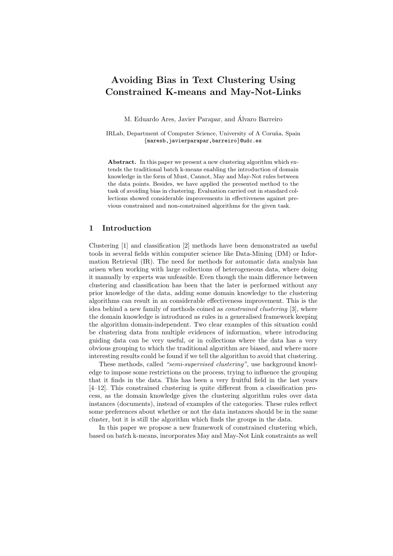# Avoiding Bias in Text Clustering Using Constrained K-means and May-Not-Links

M. Eduardo Ares, Javier Parapar, and Alvaro Barreiro ´

IRLab, Department of Computer Science, University of A Coruña, Spain {maresb,javierparapar,barreiro}@udc.es

Abstract. In this paper we present a new clustering algorithm which extends the traditional batch k-means enabling the introduction of domain knowledge in the form of Must, Cannot, May and May-Not rules between the data points. Besides, we have applied the presented method to the task of avoiding bias in clustering. Evaluation carried out in standard collections showed considerable improvements in effectiveness against previous constrained and non-constrained algorithms for the given task.

## 1 Introduction

Clustering [1] and classification [2] methods have been demonstrated as useful tools in several fields within computer science like Data-Mining (DM) or Information Retrieval (IR). The need for methods for automatic data analysis has arisen when working with large collections of heterogeneous data, where doing it manually by experts was unfeasible. Even though the main difference between clustering and classification has been that the later is performed without any prior knowledge of the data, adding some domain knowledge to the clustering algorithms can result in an considerable effectiveness improvement. This is the idea behind a new family of methods coined as constrained clustering [3], where the domain knowledge is introduced as rules in a generalised framework keeping the algorithm domain-independent. Two clear examples of this situation could be clustering data from multiple evidences of information, where introducing guiding data can be very useful, or in collections where the data has a very obvious grouping to which the traditional algorithm are biased, and where more interesting results could be found if we tell the algorithm to avoid that clustering.

These methods, called "semi-supervised clustering", use background knowledge to impose some restrictions on the process, trying to influence the grouping that it finds in the data. This has been a very fruitful field in the last years [4–12]. This constrained clustering is quite different from a classification process, as the domain knowledge gives the clustering algorithm rules over data instances (documents), instead of examples of the categories. These rules reflect some preferences about whether or not the data instances should be in the same cluster, but it is still the algorithm which finds the groups in the data.

In this paper we propose a new framework of constrained clustering which, based on batch k-means, incorporates May and May-Not Link constraints as well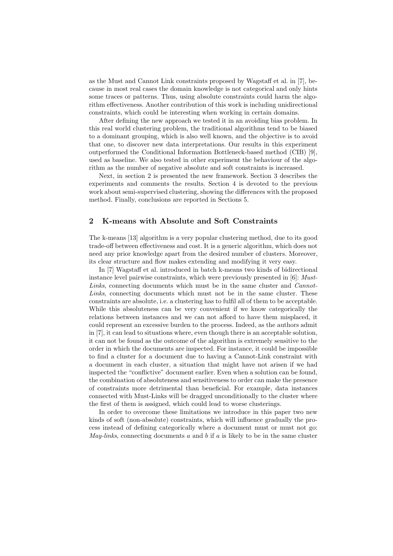as the Must and Cannot Link constraints proposed by Wagstaff et al. in [7], because in most real cases the domain knowledge is not categorical and only hints some traces or patterns. Thus, using absolute constraints could harm the algorithm effectiveness. Another contribution of this work is including unidirectional constraints, which could be interesting when working in certain domains.

After defining the new approach we tested it in an avoiding bias problem. In this real world clustering problem, the traditional algorithms tend to be biased to a dominant grouping, which is also well known, and the objective is to avoid that one, to discover new data interpretations. Our results in this experiment outperformed the Conditional Information Bottleneck-based method (CIB) [9], used as baseline. We also tested in other experiment the behaviour of the algorithm as the number of negative absolute and soft constraints is increased.

Next, in section 2 is presented the new framework. Section 3 describes the experiments and comments the results. Section 4 is devoted to the previous work about semi-supervised clustering, showing the differences with the proposed method. Finally, conclusions are reported in Sections 5.

## 2 K-means with Absolute and Soft Constraints

The k-means [13] algorithm is a very popular clustering method, due to its good trade-off between effectiveness and cost. It is a generic algorithm, which does not need any prior knowledge apart from the desired number of clusters. Moreover, its clear structure and flow makes extending and modifying it very easy.

In [7] Wagstaff et al. introduced in batch k-means two kinds of bidirectional instance level pairwise constraints, which were previously presented in [6]: Must-Links, connecting documents which must be in the same cluster and *Cannot*-Links, connecting documents which must not be in the same cluster. These constraints are absolute, i.e. a clustering has to fulfil all of them to be acceptable. While this absoluteness can be very convenient if we know categorically the relations between instances and we can not afford to have them misplaced, it could represent an excessive burden to the process. Indeed, as the authors admit in [7], it can lead to situations where, even though there is an acceptable solution, it can not be found as the outcome of the algorithm is extremely sensitive to the order in which the documents are inspected. For instance, it could be impossible to find a cluster for a document due to having a Cannot-Link constraint with a document in each cluster, a situation that might have not arisen if we had inspected the "conflictive" document earlier. Even when a solution can be found, the combination of absoluteness and sensitiveness to order can make the presence of constraints more detrimental than beneficial. For example, data instances connected with Must-Links will be dragged unconditionally to the cluster where the first of them is assigned, which could lead to worse clusterings.

In order to overcome these limitations we introduce in this paper two new kinds of soft (non-absolute) constraints, which will influence gradually the process instead of defining categorically where a document must or must not go: May-links, connecting documents a and b if a is likely to be in the same cluster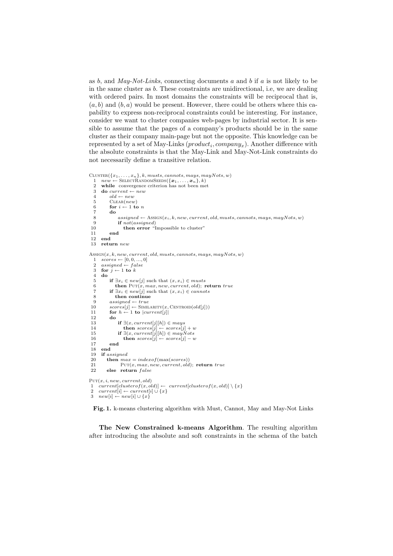as b, and May-Not-Links, connecting documents a and b if a is not likely to be in the same cluster as b. These constraints are unidirectional, i.e, we are dealing with ordered pairs. In most domains the constraints will be reciprocal that is,  $(a, b)$  and  $(b, a)$  would be present. However, there could be others where this capability to express non-reciprocal constraints could be interesting. For instance, consider we want to cluster companies web-pages by industrial sector. It is sensible to assume that the pages of a company's products should be in the same cluster as their company main-page but not the opposite. This knowledge can be represented by a set of May-Links  $(preduct_i, company_x)$ . Another difference with the absolute constraints is that the May-Link and May-Not-Link constraints do not necessarily define a transitive relation.

```
CLUSTER({x_1, \ldots, x_n}, k, musts, cannots, mays, mayNots, w)<br>
1 new \leftarrowSELECTRANDOMSEEDS({x_1, \ldots, x_n}, k)1 new \leftarrow SELECTRANDOMSEEDS({\bf x}_1, \ldots, {\bf x}_n, k)<br>2 while convergence criterion has not been me
        while convergence criterion has not been met
  3 do current \leftarrow new
  4 old \leftarrow new<br>5 CLEAR(new
  5 CLEAR(new)<br>6 for i \leftarrow 1 to
  6 for i \leftarrow 1 to n<br>7 do
              7 do
  8 assigned ← Assign(x_i, k, new, current, old, musts, cannots, mays, mayNots, w)<br>9 if not(assigned)
 9 if not(assigned)<br>10 then error "l
 10 then error "Impossible to cluster"<br>11 end
\begin{array}{cc} 11 & \text{end} \\ 12 & \text{end}\begin{bmatrix} 12 & \textbf{end} \\ 13 & \textbf{return} \end{bmatrix}return new
\text{Assson}(x, k, new, current, old, musts, cannots, max, many)1 \quad scores \leftarrow [0, 0, ..., 0]2 assigned \leftarrow false
  3 for j \leftarrow 1 to k<br>4 do
        4 do
  5 if \exists x_i \in new[j] such that (x, x_i) \in musts<br>6 then PUT(x, max, new, current, old):
   6 then PUT(x, max, new, current, old); return true
   7 if \exists x_i \in new[j] such that (x, x_i) \in cannots8 then continue<br>9 assained \leftarrow true9 \text{assigned} \leftarrow \text{true}<br>10 \text{scores}[j] \leftarrow \text{SIMILARITY}(x, \text{CENTROID}(old[j]))11 for h \leftarrow 1 to |current[j]|\begin{array}{cc}\n 12 & \mathbf{do} \\
 13 & \end{array}13 if \exists (x, current[j][h]) \in mays<br>
14 then scores[j] \leftarrow scores[j]14 then scores[j] \leftarrow scores[j] + w<br>
15 if \exists (x, current[j][h]) \in mayNots15 if \exists (x, current[j][h]) \in may \overline{N}ots<br>
16 then scores[j] ← scores[j] – w<br>
17 end
\begin{array}{cc} 17 & \text{end} \\ 18 & \text{end} \end{array}end.
19 if assigned<br>20 then ma20 then max = indexof(max(scores))<br>21 PUT(x, max, new, current old
21 Put(x, max, new, current, old); return true<br>
22 else return false
            else return false
PUT(x, i, new, current, old)1 current[clusterof(x, old)] \leftarrow current[clusterof(x, old)] \{x\}<br>2 current[i] \leftarrow current[i] \{x\}current[i] \leftarrow current[i] \cup \{x\}3 new[i] \leftarrow new[i] \cup \{x\}
```
Fig. 1. k-means clustering algorithm with Must, Cannot, May and May-Not Links

The New Constrained k-means Algorithm. The resulting algorithm after introducing the absolute and soft constraints in the schema of the batch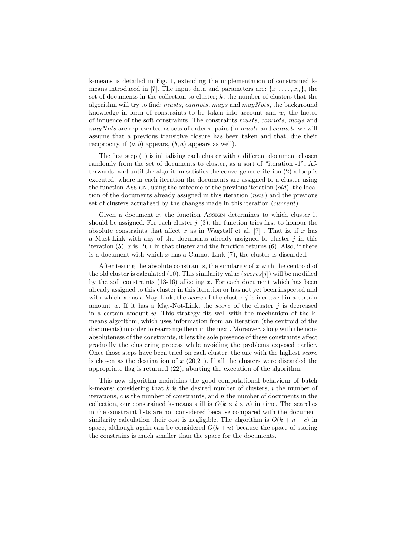k-means is detailed in Fig. 1, extending the implementation of constrained kmeans introduced in [7]. The input data and parameters are:  $\{x_1, \ldots, x_n\}$ , the set of documents in the collection to cluster;  $k$ , the number of clusters that the algorithm will try to find; musts, cannots, mays and mayNots, the background knowledge in form of constraints to be taken into account and  $w$ , the factor of influence of the soft constraints. The constraints musts, cannots, mays and mayNots are represented as sets of ordered pairs (in musts and cannots we will assume that a previous transitive closure has been taken and that, due their reciprocity, if  $(a, b)$  appears,  $(b, a)$  appears as well).

The first step (1) is initialising each cluster with a different document chosen randomly from the set of documents to cluster, as a sort of "iteration -1". Afterwards, and until the algorithm satisfies the convergence criterion (2) a loop is executed, where in each iteration the documents are assigned to a cluster using the function Assign, using the outcome of the previous iteration  $(\text{old})$ , the location of the documents already assigned in this iteration (new) and the previous set of clusters actualised by the changes made in this iteration (current).

Given a document  $x$ , the function ASSIGN determines to which cluster it should be assigned. For each cluster  $j(3)$ , the function tries first to honour the absolute constraints that affect x as in Wagstaff et al.  $[7]$ . That is, if x has a Must-Link with any of the documents already assigned to cluster  $j$  in this iteration  $(5)$ , x is PUT in that cluster and the function returns  $(6)$ . Also, if there is a document with which  $x$  has a Cannot-Link  $(7)$ , the cluster is discarded.

After testing the absolute constraints, the similarity of  $x$  with the centroid of the old cluster is calculated (10). This similarity value  $(scores[j])$  will be modified by the soft constraints  $(13-16)$  affecting x. For each document which has been already assigned to this cluster in this iteration or has not yet been inspected and with which x has a May-Link, the *score* of the cluster j is increased in a certain amount w. If it has a May-Not-Link, the *score* of the cluster  $j$  is decreased in a certain amount  $w$ . This strategy fits well with the mechanism of the kmeans algorithm, which uses information from an iteration (the centroid of the documents) in order to rearrange them in the next. Moreover, along with the nonabsoluteness of the constraints, it lets the sole presence of these constraints affect gradually the clustering process while avoiding the problems exposed earlier. Once those steps have been tried on each cluster, the one with the highest score is chosen as the destination of  $x(20,21)$ . If all the clusters were discarded the appropriate flag is returned (22), aborting the execution of the algorithm.

This new algorithm maintains the good computational behaviour of batch k-means: considering that k is the desired number of clusters,  $i$  the number of iterations,  $c$  is the number of constraints, and  $n$  the number of documents in the collection, our constrained k-means still is  $O(k \times i \times n)$  in time. The searches in the constraint lists are not considered because compared with the document similarity calculation their cost is negligible. The algorithm is  $O(k + n + c)$  in space, although again can be considered  $O(k+n)$  because the space of storing the constrains is much smaller than the space for the documents.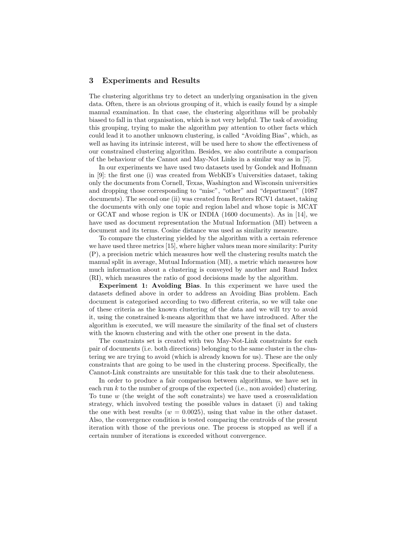#### 3 Experiments and Results

The clustering algorithms try to detect an underlying organisation in the given data. Often, there is an obvious grouping of it, which is easily found by a simple manual examination. In that case, the clustering algorithms will be probably biased to fall in that organisation, which is not very helpful. The task of avoiding this grouping, trying to make the algorithm pay attention to other facts which could lead it to another unknown clustering, is called "Avoiding Bias", which, as well as having its intrinsic interest, will be used here to show the effectiveness of our constrained clustering algorithm. Besides, we also contribute a comparison of the behaviour of the Cannot and May-Not Links in a similar way as in [7].

In our experiments we have used two datasets used by Gondek and Hofmann in [9]: the first one (i) was created from WebKB's Universities dataset, taking only the documents from Cornell, Texas, Washington and Wisconsin universities and dropping those corresponding to "misc", "other" and "department" (1087 documents). The second one (ii) was created from Reuters RCV1 dataset, taking the documents with only one topic and region label and whose topic is MCAT or GCAT and whose region is UK or INDIA (1600 documents). As in [14], we have used as document representation the Mutual Information (MI) between a document and its terms. Cosine distance was used as similarity measure.

To compare the clustering yielded by the algorithm with a certain reference we have used three metrics [15], where higher values mean more similarity: Purity (P), a precision metric which measures how well the clustering results match the manual split in average, Mutual Information (MI), a metric which measures how much information about a clustering is conveyed by another and Rand Index (RI), which measures the ratio of good decisions made by the algorithm.

Experiment 1: Avoiding Bias. In this experiment we have used the datasets defined above in order to address an Avoiding Bias problem. Each document is categorised according to two different criteria, so we will take one of these criteria as the known clustering of the data and we will try to avoid it, using the constrained k-means algorithm that we have introduced. After the algorithm is executed, we will measure the similarity of the final set of clusters with the known clustering and with the other one present in the data.

The constraints set is created with two May-Not-Link constraints for each pair of documents (i.e. both directions) belonging to the same cluster in the clustering we are trying to avoid (which is already known for us). These are the only constraints that are going to be used in the clustering process. Specifically, the Cannot-Link constraints are unsuitable for this task due to their absoluteness.

In order to produce a fair comparison between algorithms, we have set in each run  $k$  to the number of groups of the expected (i.e., non avoided) clustering. To tune w (the weight of the soft constraints) we have used a crossvalidation strategy, which involved testing the possible values in dataset (i) and taking the one with best results ( $w = 0.0025$ ), using that value in the other dataset. Also, the convergence condition is tested comparing the centroids of the present iteration with those of the previous one. The process is stopped as well if a certain number of iterations is exceeded without convergence.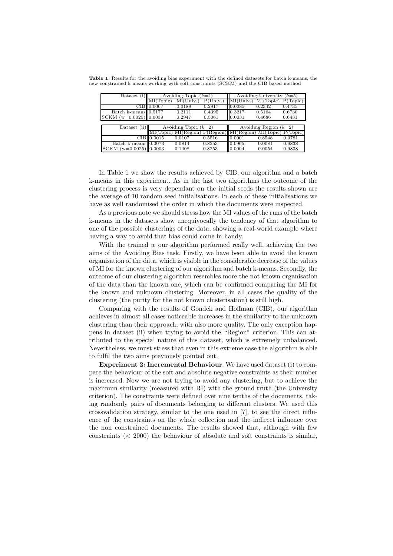| Table 1. Results for the avoiding bias experiment with the defined datasets for batch k-means, the |  |  |
|----------------------------------------------------------------------------------------------------|--|--|
| new constrained k-means working with soft constraints (SCKM) and the CIB based method              |  |  |

| Dataset $(i)$                  | Avoiding Topic $(k=4)$ |                        |         | Avoiding University $(k=5)$ |                         |          |
|--------------------------------|------------------------|------------------------|---------|-----------------------------|-------------------------|----------|
|                                | MI(Topic)              | Mi(Univ.               | '(Univ. | MI(Univ.                    | MI(Topic)               | P(Topic) |
|                                | CIB 0.0067             | 0.0189                 | 0.2917  | 0.0085                      | 0.2342                  | 0.4735   |
| Batch k-means 0.5177           |                        | 0.2111                 | 0.4395  | 0.3217                      | 0.5164                  | 0.6730   |
| SCKM (w=0.0025) 0.0039         |                        | 0.2947                 | 0.5061  | 0.0031                      | 0.4686                  | 0.6431   |
|                                |                        |                        |         |                             |                         |          |
|                                |                        |                        |         |                             |                         |          |
| Dataset $(iii)$                |                        | Avoiding Topic $(k=2)$ |         |                             | Avoiding Region $(k=2)$ |          |
|                                |                        | MI(Topic) MI(Region)   |         | $P(Region)$ MI(Region)      | MI(Topic)               | P(Topic) |
|                                | CIB 0.0015             | 0.0107                 | 0.5516  | 0.0001                      | 0.8548                  | 0.9781   |
| Batch k-means $ 0.0073\rangle$ |                        | 0.0814                 | 0.8253  | 0.0965                      | 0.0081                  | 0.9838   |

In Table 1 we show the results achieved by CIB, our algorithm and a batch k-means in this experiment. As in the last two algorithms the outcome of the clustering process is very dependant on the initial seeds the results shown are the average of 10 random seed initialisations. In each of these initialisations we have as well randomised the order in which the documents were inspected.

As a previous note we should stress how the MI values of the runs of the batch k-means in the datasets show unequivocally the tendency of that algorithm to one of the possible clusterings of the data, showing a real-world example where having a way to avoid that bias could come in handy.

With the trained  $w$  our algorithm performed really well, achieving the two aims of the Avoiding Bias task. Firstly, we have been able to avoid the known organisation of the data, which is visible in the considerable decrease of the values of MI for the known clustering of our algorithm and batch k-means. Secondly, the outcome of our clustering algorithm resembles more the not known organisation of the data than the known one, which can be confirmed comparing the MI for the known and unknown clustering. Moreover, in all cases the quality of the clustering (the purity for the not known clusterisation) is still high.

Comparing with the results of Gondek and Hoffman (CIB), our algorithm achieves in almost all cases noticeable increases in the similarity to the unknown clustering than their approach, with also more quality. The only exception happens in dataset (ii) when trying to avoid the "Region" criterion. This can attributed to the special nature of this dataset, which is extremely unbalanced. Nevertheless, we must stress that even in this extreme case the algorithm is able to fulfil the two aims previously pointed out.

Experiment 2: Incremental Behaviour. We have used dataset (i) to compare the behaviour of the soft and absolute negative constraints as their number is increased. Now we are not trying to avoid any clustering, but to achieve the maximum similarity (measured with RI) with the ground truth (the University criterion). The constraints were defined over nine tenths of the documents, taking randomly pairs of documents belonging to different clusters. We used this crossvalidation strategy, similar to the one used in [7], to see the direct influence of the constraints on the whole collection and the indirect influence over the non constrained documents. The results showed that, although with few constraints (< 2000) the behaviour of absolute and soft constraints is similar,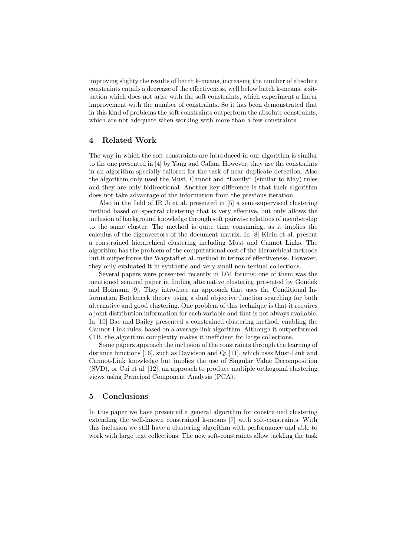improving slighty the results of batch k-means, increasing the number of absolute constraints entails a decrease of the effectiveness, well below batch k-means, a situation which does not arise with the soft constraints, which experiment a linear improvement with the number of constraints. So it has been demonstrated that in this kind of problems the soft constraints outperform the absolute constraints, which are not adequate when working with more than a few constraints.

## 4 Related Work

The way in which the soft constraints are introduced in our algorithm is similar to the one presented in [4] by Yang and Callan. However, they use the constraints in an algorithm specially tailored for the task of near duplicate detection. Also the algorithm only used the Must, Cannot and "Family" (similar to May) rules and they are only bidirectional. Another key difference is that their algorithm does not take advantage of the information from the previous iteration.

Also in the field of IR Ji et al. presented in [5] a semi-supervised clustering method based on spectral clustering that is very effective, but only allows the inclusion of background knowledge through soft pairwise relations of membership to the same cluster. The method is quite time consuming, as it implies the calculus of the eigenvectors of the document matrix. In [8] Klein et al. present a constrained hierarchical clustering including Must and Cannot Links. The algorithm has the problem of the computational cost of the hierarchical methods but it outperforms the Wagstaff et al. method in terms of effectiveness. However, they only evaluated it in synthetic and very small non-textual collections.

Several papers were presented recently in DM forums; one of them was the mentioned seminal paper in finding alternative clustering presented by Gondek and Hofmann [9]. They introduce an approach that uses the Conditional Information Bottleneck theory using a dual objective function searching for both alternative and good clustering. One problem of this technique is that it requires a joint distribution information for each variable and that is not always available. In [10] Bae and Bailey presented a constrained clustering method, enabling the Cannot-Link rules, based on a average-link algorithm. Although it outperformed CIB, the algorithm complexity makes it inefficient for large collections.

Some papers approach the inclusion of the constraints through the learning of distance functions [16], such as Davidson and Qi [11], which uses Must-Link and Cannot-Link knowledge but implies the use of Singular Value Decomposition (SVD), or Cui et al. [12], an approach to produce multiple orthogonal clustering views using Principal Component Analysis (PCA).

#### 5 Conclusions

In this paper we have presented a general algorithm for constrained clustering extending the well-known constrained k-means [7] with soft-constraints. With this inclusion we still have a clustering algorithm with performance and able to work with large text collections. The new soft-constraints allow tackling the task